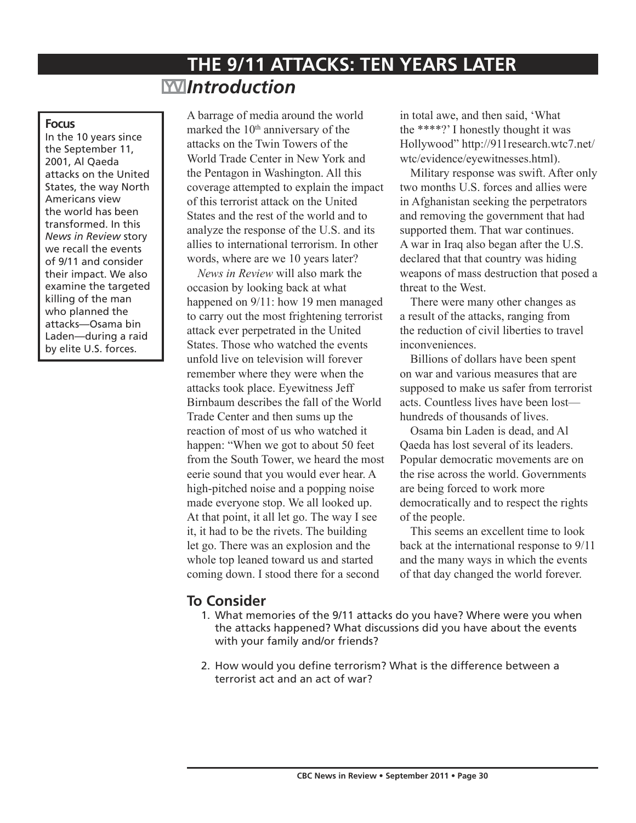# **THE 9/11 ATTACKS: TEN YEARS LATER**  *Introduction*

#### **Focus**

In the 10 years since the September 11, 2001, Al Qaeda attacks on the United States, the way North Americans view the world has been transformed. In this *News in Review* story we recall the events of 9/11 and consider their impact. We also examine the targeted killing of the man who planned the attacks—Osama bin Laden—during a raid by elite U.S. forces.

A barrage of media around the world marked the 10<sup>th</sup> anniversary of the attacks on the Twin Towers of the World Trade Center in New York and the Pentagon in Washington. All this coverage attempted to explain the impact of this terrorist attack on the United States and the rest of the world and to analyze the response of the U.S. and its allies to international terrorism. In other words, where are we 10 years later?

*News in Review* will also mark the occasion by looking back at what happened on 9/11: how 19 men managed to carry out the most frightening terrorist attack ever perpetrated in the United States. Those who watched the events unfold live on television will forever remember where they were when the attacks took place. Eyewitness Jeff Birnbaum describes the fall of the World Trade Center and then sums up the reaction of most of us who watched it happen: "When we got to about 50 feet from the South Tower, we heard the most eerie sound that you would ever hear. A high-pitched noise and a popping noise made everyone stop. We all looked up. At that point, it all let go. The way I see it, it had to be the rivets. The building let go. There was an explosion and the whole top leaned toward us and started coming down. I stood there for a second

in total awe, and then said, 'What the \*\*\*\*?' I honestly thought it was Hollywood" http://911research.wtc7.net/ wtc/evidence/eyewitnesses.html).

Military response was swift. After only two months U.S. forces and allies were in Afghanistan seeking the perpetrators and removing the government that had supported them. That war continues. A war in Iraq also began after the U.S. declared that that country was hiding weapons of mass destruction that posed a threat to the West.

There were many other changes as a result of the attacks, ranging from the reduction of civil liberties to travel inconveniences.

Billions of dollars have been spent on war and various measures that are supposed to make us safer from terrorist acts. Countless lives have been lost hundreds of thousands of lives.

Osama bin Laden is dead, and Al Qaeda has lost several of its leaders. Popular democratic movements are on the rise across the world. Governments are being forced to work more democratically and to respect the rights of the people.

This seems an excellent time to look back at the international response to 9/11 and the many ways in which the events of that day changed the world forever.

# **To Consider**

- 1. What memories of the 9/11 attacks do you have? Where were you when the attacks happened? What discussions did you have about the events with your family and/or friends?
- 2. How would you define terrorism? What is the difference between a terrorist act and an act of war?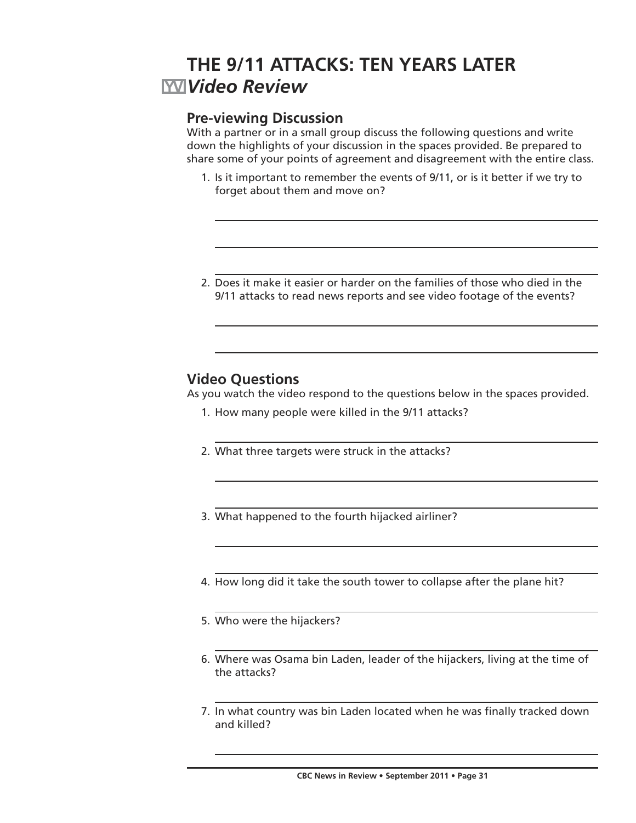# **THE 9/11 ATTACKS: TEN YEARS LATER** *Video Review*

# **Pre-viewing Discussion**

With a partner or in a small group discuss the following questions and write down the highlights of your discussion in the spaces provided. Be prepared to share some of your points of agreement and disagreement with the entire class.

- 1. Is it important to remember the events of 9/11, or is it better if we try to forget about them and move on?
- 2. Does it make it easier or harder on the families of those who died in the 9/11 attacks to read news reports and see video footage of the events?

# **Video Questions**

As you watch the video respond to the questions below in the spaces provided.

- 1. How many people were killed in the 9/11 attacks?
- 2. What three targets were struck in the attacks?
- 3. What happened to the fourth hijacked airliner?
- 4. How long did it take the south tower to collapse after the plane hit?
- 5. Who were the hijackers?
- 6. Where was Osama bin Laden, leader of the hijackers, living at the time of the attacks?
- 7. In what country was bin Laden located when he was finally tracked down and killed?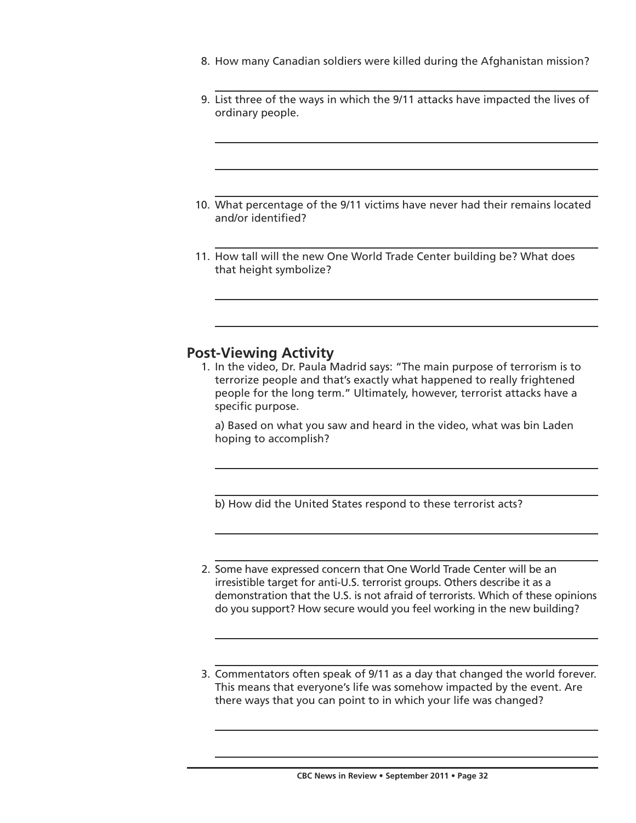- 8. How many Canadian soldiers were killed during the Afghanistan mission?
- 9. List three of the ways in which the 9/11 attacks have impacted the lives of ordinary people.
- 10. What percentage of the 9/11 victims have never had their remains located and/or identified?
- 11. How tall will the new One World Trade Center building be? What does that height symbolize?

## **Post-Viewing Activity**

 1. In the video, Dr. Paula Madrid says: "The main purpose of terrorism is to terrorize people and that's exactly what happened to really frightened people for the long term." Ultimately, however, terrorist attacks have a specific purpose.

 a) Based on what you saw and heard in the video, what was bin Laden hoping to accomplish?

b) How did the United States respond to these terrorist acts?

- 2. Some have expressed concern that One World Trade Center will be an irresistible target for anti-U.S. terrorist groups. Others describe it as a demonstration that the U.S. is not afraid of terrorists. Which of these opinions do you support? How secure would you feel working in the new building?
- 3. Commentators often speak of 9/11 as a day that changed the world forever. This means that everyone's life was somehow impacted by the event. Are there ways that you can point to in which your life was changed?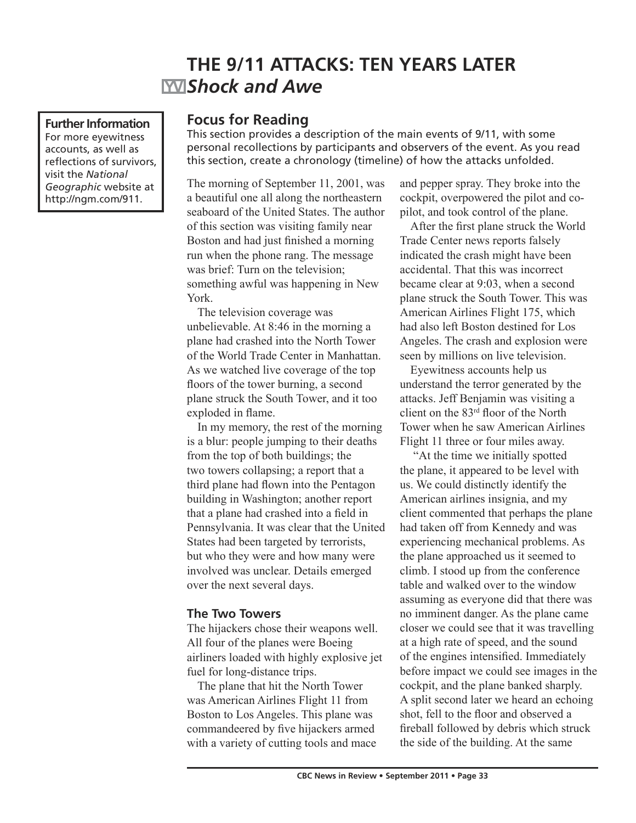# **THE 9/11 ATTACKS: TEN YEARS LATER** *Shock and Awe*

**Further Information** For more eyewitness accounts, as well as reflections of survivors, visit the *National Geographic* website at http://ngm.com/911.

## **Focus for Reading**

This section provides a description of the main events of 9/11, with some personal recollections by participants and observers of the event. As you read this section, create a chronology (timeline) of how the attacks unfolded.

The morning of September 11, 2001, was a beautiful one all along the northeastern seaboard of the United States. The author of this section was visiting family near Boston and had just finished a morning run when the phone rang. The message was brief: Turn on the television; something awful was happening in New York.

The television coverage was unbelievable. At 8:46 in the morning a plane had crashed into the North Tower of the World Trade Center in Manhattan. As we watched live coverage of the top floors of the tower burning, a second plane struck the South Tower, and it too exploded in flame.

In my memory, the rest of the morning is a blur: people jumping to their deaths from the top of both buildings; the two towers collapsing; a report that a third plane had flown into the Pentagon building in Washington; another report that a plane had crashed into a field in Pennsylvania. It was clear that the United States had been targeted by terrorists, but who they were and how many were involved was unclear. Details emerged over the next several days.

#### **The Two Towers**

The hijackers chose their weapons well. All four of the planes were Boeing airliners loaded with highly explosive jet fuel for long-distance trips.

The plane that hit the North Tower was American Airlines Flight 11 from Boston to Los Angeles. This plane was commandeered by five hijackers armed with a variety of cutting tools and mace and pepper spray. They broke into the cockpit, overpowered the pilot and copilot, and took control of the plane.

After the first plane struck the World Trade Center news reports falsely indicated the crash might have been accidental. That this was incorrect became clear at 9:03, when a second plane struck the South Tower. This was American Airlines Flight 175, which had also left Boston destined for Los Angeles. The crash and explosion were seen by millions on live television.

Eyewitness accounts help us understand the terror generated by the attacks. Jeff Benjamin was visiting a client on the 83rd floor of the North Tower when he saw American Airlines Flight 11 three or four miles away.

 "At the time we initially spotted the plane, it appeared to be level with us. We could distinctly identify the American airlines insignia, and my client commented that perhaps the plane had taken off from Kennedy and was experiencing mechanical problems. As the plane approached us it seemed to climb. I stood up from the conference table and walked over to the window assuming as everyone did that there was no imminent danger. As the plane came closer we could see that it was travelling at a high rate of speed, and the sound of the engines intensified. Immediately before impact we could see images in the cockpit, and the plane banked sharply. A split second later we heard an echoing shot, fell to the floor and observed a fireball followed by debris which struck the side of the building. At the same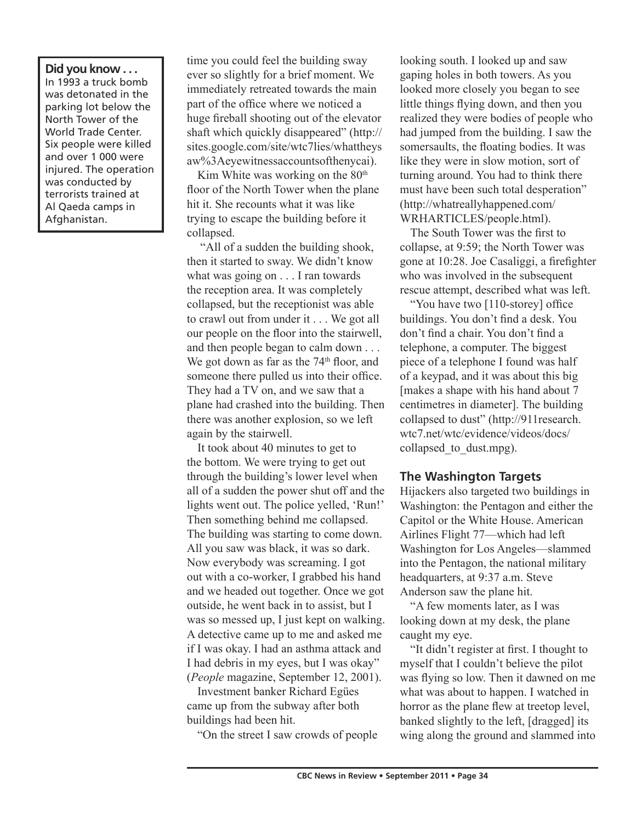**Did you know . . .**  In 1993 a truck bomb was detonated in the parking lot below the North Tower of the World Trade Center. Six people were killed and over 1 000 were injured. The operation was conducted by terrorists trained at Al Qaeda camps in Afghanistan.

time you could feel the building sway ever so slightly for a brief moment. We immediately retreated towards the main part of the office where we noticed a huge fireball shooting out of the elevator shaft which quickly disappeared" (http:// sites.google.com/site/wtc7lies/whattheys aw%3Aeyewitnessaccountsofthenycai).

Kim White was working on the  $80<sup>th</sup>$ floor of the North Tower when the plane hit it. She recounts what it was like trying to escape the building before it collapsed.

 "All of a sudden the building shook, then it started to sway. We didn't know what was going on . . . I ran towards the reception area. It was completely collapsed, but the receptionist was able to crawl out from under it . . . We got all our people on the floor into the stairwell, and then people began to calm down . . . We got down as far as the  $74<sup>th</sup>$  floor, and someone there pulled us into their office. They had a TV on, and we saw that a plane had crashed into the building. Then there was another explosion, so we left again by the stairwell.

It took about 40 minutes to get to the bottom. We were trying to get out through the building's lower level when all of a sudden the power shut off and the lights went out. The police yelled, 'Run!' Then something behind me collapsed. The building was starting to come down. All you saw was black, it was so dark. Now everybody was screaming. I got out with a co-worker, I grabbed his hand and we headed out together. Once we got outside, he went back in to assist, but I was so messed up, I just kept on walking. A detective came up to me and asked me if I was okay. I had an asthma attack and I had debris in my eyes, but I was okay" (*People* magazine, September 12, 2001).

Investment banker Richard Egües came up from the subway after both buildings had been hit.

"On the street I saw crowds of people

looking south. I looked up and saw gaping holes in both towers. As you looked more closely you began to see little things flying down, and then you realized they were bodies of people who had jumped from the building. I saw the somersaults, the floating bodies. It was like they were in slow motion, sort of turning around. You had to think there must have been such total desperation" (http://whatreallyhappened.com/ WRHARTICLES/people.html).

The South Tower was the first to collapse, at 9:59; the North Tower was gone at 10:28. Joe Casaliggi, a firefighter who was involved in the subsequent rescue attempt, described what was left.

"You have two [110-storey] office buildings. You don't find a desk. You don't find a chair. You don't find a telephone, a computer. The biggest piece of a telephone I found was half of a keypad, and it was about this big [makes a shape with his hand about 7 centimetres in diameter]. The building collapsed to dust" (http://911research. wtc7.net/wtc/evidence/videos/docs/ collapsed to dust.mpg).

#### **The Washington Targets**

Hijackers also targeted two buildings in Washington: the Pentagon and either the Capitol or the White House. American Airlines Flight 77—which had left Washington for Los Angeles—slammed into the Pentagon, the national military headquarters, at 9:37 a.m. Steve Anderson saw the plane hit.

"A few moments later, as I was looking down at my desk, the plane caught my eye.

"It didn't register at first. I thought to myself that I couldn't believe the pilot was flying so low. Then it dawned on me what was about to happen. I watched in horror as the plane flew at treetop level, banked slightly to the left, [dragged] its wing along the ground and slammed into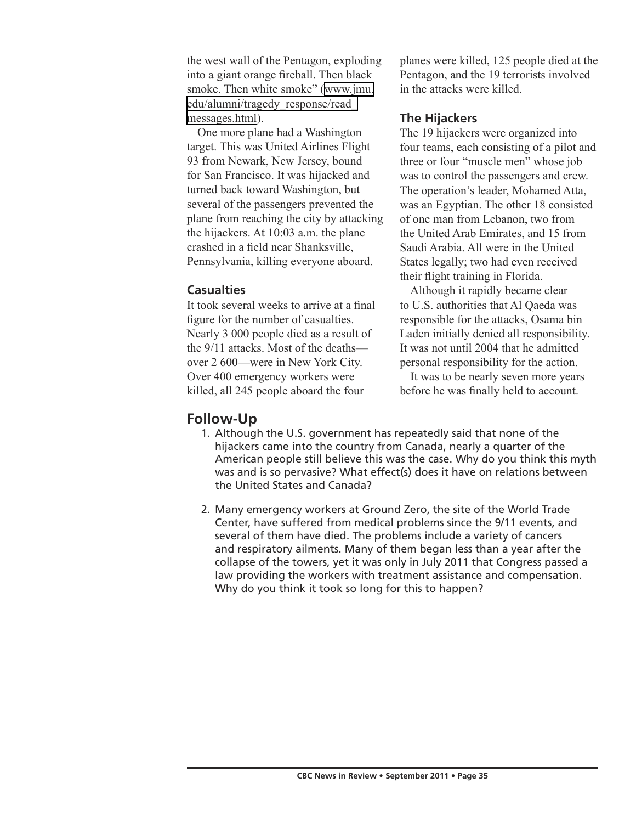the west wall of the Pentagon, exploding into a giant orange fireball. Then black smoke. Then white smoke" [\(www.jmu.](http://www.jmu.edu/alumni/tragedy_response/read_messages.html) [edu/alumni/tragedy\\_response/read\\_](http://www.jmu.edu/alumni/tragedy_response/read_messages.html) [messages.html](http://www.jmu.edu/alumni/tragedy_response/read_messages.html)).

One more plane had a Washington target. This was United Airlines Flight 93 from Newark, New Jersey, bound for San Francisco. It was hijacked and turned back toward Washington, but several of the passengers prevented the plane from reaching the city by attacking the hijackers. At 10:03 a.m. the plane crashed in a field near Shanksville, Pennsylvania, killing everyone aboard.

#### **Casualties**

It took several weeks to arrive at a final figure for the number of casualties. Nearly 3 000 people died as a result of the 9/11 attacks. Most of the deaths over 2 600—were in New York City. Over 400 emergency workers were killed, all 245 people aboard the four

planes were killed, 125 people died at the Pentagon, and the 19 terrorists involved in the attacks were killed.

### **The Hijackers**

The 19 hijackers were organized into four teams, each consisting of a pilot and three or four "muscle men" whose job was to control the passengers and crew. The operation's leader, Mohamed Atta, was an Egyptian. The other 18 consisted of one man from Lebanon, two from the United Arab Emirates, and 15 from Saudi Arabia. All were in the United States legally; two had even received their flight training in Florida.

Although it rapidly became clear to U.S. authorities that Al Qaeda was responsible for the attacks, Osama bin Laden initially denied all responsibility. It was not until 2004 that he admitted personal responsibility for the action.

It was to be nearly seven more years before he was finally held to account.

## **Follow-Up**

- 1. Although the U.S. government has repeatedly said that none of the hijackers came into the country from Canada, nearly a quarter of the American people still believe this was the case. Why do you think this myth was and is so pervasive? What effect(s) does it have on relations between the United States and Canada?
- 2. Many emergency workers at Ground Zero, the site of the World Trade Center, have suffered from medical problems since the 9/11 events, and several of them have died. The problems include a variety of cancers and respiratory ailments. Many of them began less than a year after the collapse of the towers, yet it was only in July 2011 that Congress passed a law providing the workers with treatment assistance and compensation. Why do you think it took so long for this to happen?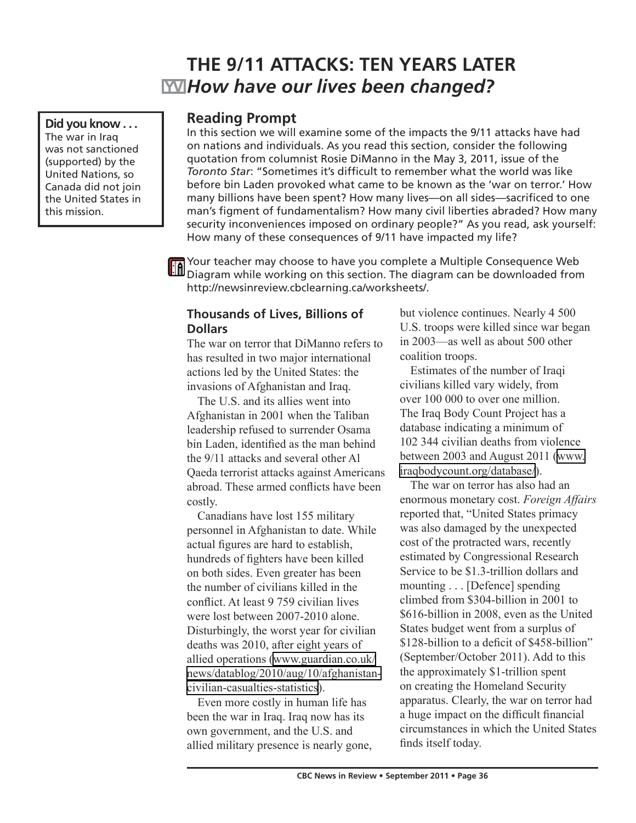# **THE 9/11 ATTACKS: TEN YEARS LATER** *How have our lives been changed?*

**Did you know . . .**  The war in Iraq was not sanctioned (supported) by the United Nations, so Canada did not join the United States in this mission.

### **Reading Prompt**

In this section we will examine some of the impacts the 9/11 attacks have had on nations and individuals. As you read this section, consider the following quotation from columnist Rosie DiManno in the May 3, 2011, issue of the *Toronto Star*: "Sometimes it's difficult to remember what the world was like before bin Laden provoked what came to be known as the 'war on terror.' How many billions have been spent? How many lives—on all sides—sacrificed to one man's figment of fundamentalism? How many civil liberties abraded? How many security inconveniences imposed on ordinary people?" As you read, ask yourself: How many of these consequences of 9/11 have impacted my life?

Your teacher may choose to have you complete a Multiple Consequence Web The Your teacher may choose to have you complete a memper can be downloaded from http://newsinreview.cbclearning.ca/worksheets/.

#### **Thousands of Lives, Billions of Dollars**

The war on terror that DiManno refers to has resulted in two major international actions led by the United States: the invasions of Afghanistan and Iraq.

The U.S. and its allies went into Afghanistan in 2001 when the Taliban leadership refused to surrender Osama bin Laden, identified as the man behind the 9/11 attacks and several other Al Qaeda terrorist attacks against Americans abroad. These armed conflicts have been costly.

Canadians have lost 155 military personnel in Afghanistan to date. While actual figures are hard to establish, hundreds of fighters have been killed on both sides. Even greater has been the number of civilians killed in the conflict. At least 9 759 civilian lives were lost between 2007-2010 alone. Disturbingly, the worst year for civilian deaths was 2010, after eight years of allied operations [\(www.guardian.co.uk/](http://www.guardian.co.uk/news/datablog/2010/aug/10/afghanistan-civilian-casualties-statistics) [news/datablog/2010/aug/10/afghanistan](http://www.guardian.co.uk/news/datablog/2010/aug/10/afghanistan-civilian-casualties-statistics)[civilian-casualties-statistics](http://www.guardian.co.uk/news/datablog/2010/aug/10/afghanistan-civilian-casualties-statistics)).

Even more costly in human life has been the war in Iraq. Iraq now has its own government, and the U.S. and allied military presence is nearly gone, but violence continues. Nearly 4 500 U.S. troops were killed since war began in 2003—as well as about 500 other coalition troops.

Estimates of the number of Iraqi civilians killed vary widely, from over 100 000 to over one million. The Iraq Body Count Project has a database indicating a minimum of 102 344 civilian deaths from violence between 2003 and August 2011 [\(www.](http://www.iraqbodycount.org/database/) [iraqbodycount.org/database/](http://www.iraqbodycount.org/database/)).

The war on terror has also had an enormous monetary cost. *Foreign Affairs* reported that, "United States primacy was also damaged by the unexpected cost of the protracted wars, recently estimated by Congressional Research Service to be \$1.3-trillion dollars and mounting . . . [Defence] spending climbed from \$304-billion in 2001 to \$616-billion in 2008, even as the United States budget went from a surplus of \$128-billion to a deficit of \$458-billion" (September/October 2011). Add to this the approximately \$1-trillion spent on creating the Homeland Security apparatus. Clearly, the war on terror had a huge impact on the difficult financial circumstances in which the United States finds itself today.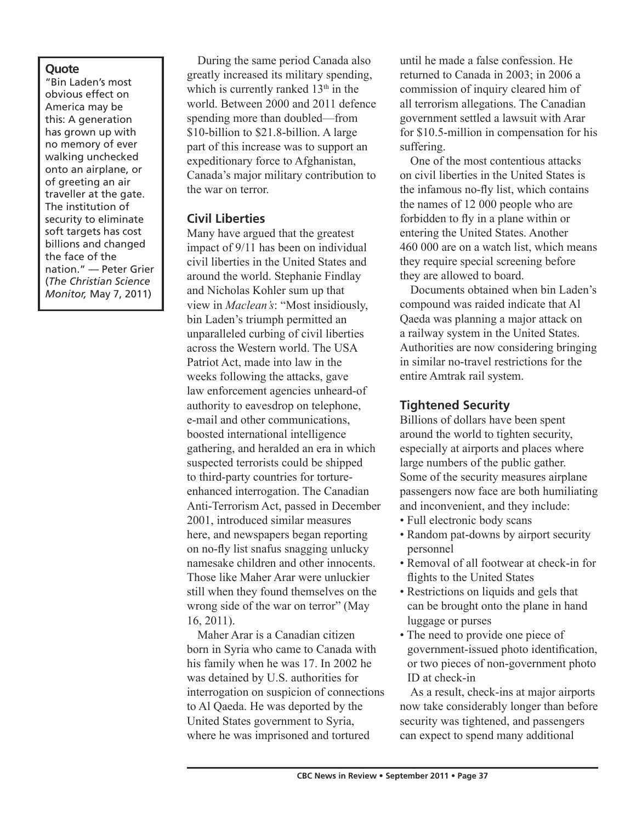#### **Quote**

"Bin Laden's most obvious effect on America may be this: A generation has grown up with no memory of ever walking unchecked onto an airplane, or of greeting an air traveller at the gate. The institution of security to eliminate soft targets has cost billions and changed the face of the nation." — Peter Grier (*The Christian Science Monitor,* May 7, 2011)

During the same period Canada also greatly increased its military spending, which is currently ranked  $13<sup>th</sup>$  in the world. Between 2000 and 2011 defence spending more than doubled—from \$10-billion to \$21.8-billion. A large part of this increase was to support an expeditionary force to Afghanistan, Canada's major military contribution to the war on terror.

### **Civil Liberties**

Many have argued that the greatest impact of 9/11 has been on individual civil liberties in the United States and around the world. Stephanie Findlay and Nicholas Kohler sum up that view in *Maclean's*: "Most insidiously, bin Laden's triumph permitted an unparalleled curbing of civil liberties across the Western world. The USA Patriot Act, made into law in the weeks following the attacks, gave law enforcement agencies unheard-of authority to eavesdrop on telephone, e-mail and other communications, boosted international intelligence gathering, and heralded an era in which suspected terrorists could be shipped to third-party countries for tortureenhanced interrogation. The Canadian Anti-Terrorism Act, passed in December 2001, introduced similar measures here, and newspapers began reporting on no-fly list snafus snagging unlucky namesake children and other innocents. Those like Maher Arar were unluckier still when they found themselves on the wrong side of the war on terror" (May 16, 2011).

Maher Arar is a Canadian citizen born in Syria who came to Canada with his family when he was 17. In 2002 he was detained by U.S. authorities for interrogation on suspicion of connections to Al Qaeda. He was deported by the United States government to Syria, where he was imprisoned and tortured

until he made a false confession. He returned to Canada in 2003; in 2006 a commission of inquiry cleared him of all terrorism allegations. The Canadian government settled a lawsuit with Arar for \$10.5-million in compensation for his suffering.

One of the most contentious attacks on civil liberties in the United States is the infamous no-fly list, which contains the names of 12 000 people who are forbidden to fly in a plane within or entering the United States. Another 460 000 are on a watch list, which means they require special screening before they are allowed to board.

Documents obtained when bin Laden's compound was raided indicate that Al Qaeda was planning a major attack on a railway system in the United States. Authorities are now considering bringing in similar no-travel restrictions for the entire Amtrak rail system.

### **Tightened Security**

Billions of dollars have been spent around the world to tighten security, especially at airports and places where large numbers of the public gather. Some of the security measures airplane passengers now face are both humiliating and inconvenient, and they include:

- Full electronic body scans
- Random pat-downs by airport security personnel
- Removal of all footwear at check-in for flights to the United States
- Restrictions on liquids and gels that can be brought onto the plane in hand luggage or purses
- The need to provide one piece of government-issued photo identification, or two pieces of non-government photo ID at check-in

As a result, check-ins at major airports now take considerably longer than before security was tightened, and passengers can expect to spend many additional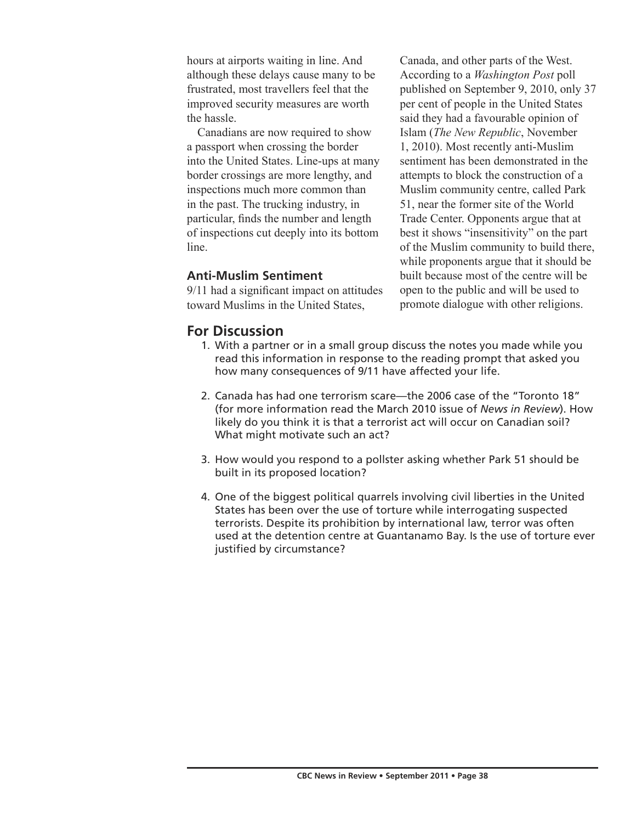hours at airports waiting in line. And although these delays cause many to be frustrated, most travellers feel that the improved security measures are worth the hassle.

Canadians are now required to show a passport when crossing the border into the United States. Line-ups at many border crossings are more lengthy, and inspections much more common than in the past. The trucking industry, in particular, finds the number and length of inspections cut deeply into its bottom line.

#### **Anti-Muslim Sentiment**

9/11 had a significant impact on attitudes toward Muslims in the United States,

Canada, and other parts of the West. According to a *Washington Post* poll published on September 9, 2010, only 37 per cent of people in the United States said they had a favourable opinion of Islam (*The New Republic*, November 1, 2010). Most recently anti-Muslim sentiment has been demonstrated in the attempts to block the construction of a Muslim community centre, called Park 51, near the former site of the World Trade Center. Opponents argue that at best it shows "insensitivity" on the part of the Muslim community to build there, while proponents argue that it should be built because most of the centre will be open to the public and will be used to promote dialogue with other religions.

## **For Discussion**

- 1. With a partner or in a small group discuss the notes you made while you read this information in response to the reading prompt that asked you how many consequences of 9/11 have affected your life.
- 2. Canada has had one terrorism scare—the 2006 case of the "Toronto 18" (for more information read the March 2010 issue of *News in Review*). How likely do you think it is that a terrorist act will occur on Canadian soil? What might motivate such an act?
- 3. How would you respond to a pollster asking whether Park 51 should be built in its proposed location?
- 4. One of the biggest political quarrels involving civil liberties in the United States has been over the use of torture while interrogating suspected terrorists. Despite its prohibition by international law, terror was often used at the detention centre at Guantanamo Bay. Is the use of torture ever justified by circumstance?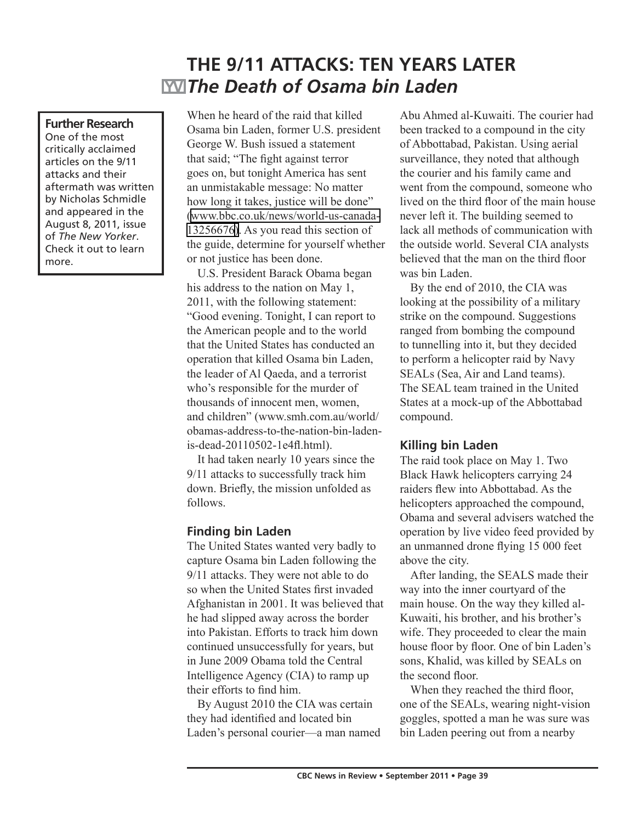# **THE 9/11 ATTACKS: TEN YEARS LATER** *The Death of Osama bin Laden*

#### **Further Research**

One of the most critically acclaimed articles on the 9/11 attacks and their aftermath was written by Nicholas Schmidle and appeared in the August 8, 2011, issue of *The New Yorker*. Check it out to learn more.

When he heard of the raid that killed Osama bin Laden, former U.S. president George W. Bush issued a statement that said; "The fight against terror goes on, but tonight America has sent an unmistakable message: No matter how long it takes, justice will be done" ([www.bbc.co.uk/news/world-us-canada-](http://www.bbc.co.uk/news/world-us-canada-13256676)[13256676](http://www.bbc.co.uk/news/world-us-canada-13256676)[\).](http://www.bbc.co.uk/news/world-us-canada-132566760) As you read this section of the guide, determine for yourself whether or not justice has been done.

U.S. President Barack Obama began his address to the nation on May 1, 2011, with the following statement: "Good evening. Tonight, I can report to the American people and to the world that the United States has conducted an operation that killed Osama bin Laden, the leader of Al Qaeda, and a terrorist who's responsible for the murder of thousands of innocent men, women, and children" (www.smh.com.au/world/ obamas-address-to-the-nation-bin-ladenis-dead-20110502-1e4fl.html).

It had taken nearly 10 years since the 9/11 attacks to successfully track him down. Briefly, the mission unfolded as follows.

#### **Finding bin Laden**

The United States wanted very badly to capture Osama bin Laden following the 9/11 attacks. They were not able to do so when the United States first invaded Afghanistan in 2001. It was believed that he had slipped away across the border into Pakistan. Efforts to track him down continued unsuccessfully for years, but in June 2009 Obama told the Central Intelligence Agency (CIA) to ramp up their efforts to find him.

By August 2010 the CIA was certain they had identified and located bin Laden's personal courier—a man named

Abu Ahmed al-Kuwaiti. The courier had been tracked to a compound in the city of Abbottabad, Pakistan. Using aerial surveillance, they noted that although the courier and his family came and went from the compound, someone who lived on the third floor of the main house never left it. The building seemed to lack all methods of communication with the outside world. Several CIA analysts believed that the man on the third floor was bin Laden.

By the end of 2010, the CIA was looking at the possibility of a military strike on the compound. Suggestions ranged from bombing the compound to tunnelling into it, but they decided to perform a helicopter raid by Navy SEALs (Sea, Air and Land teams). The SEAL team trained in the United States at a mock-up of the Abbottabad compound.

#### **Killing bin Laden**

The raid took place on May 1. Two Black Hawk helicopters carrying 24 raiders flew into Abbottabad. As the helicopters approached the compound, Obama and several advisers watched the operation by live video feed provided by an unmanned drone flying 15 000 feet above the city.

After landing, the SEALS made their way into the inner courtyard of the main house. On the way they killed al-Kuwaiti, his brother, and his brother's wife. They proceeded to clear the main house floor by floor. One of bin Laden's sons, Khalid, was killed by SEALs on the second floor.

When they reached the third floor, one of the SEALs, wearing night-vision goggles, spotted a man he was sure was bin Laden peering out from a nearby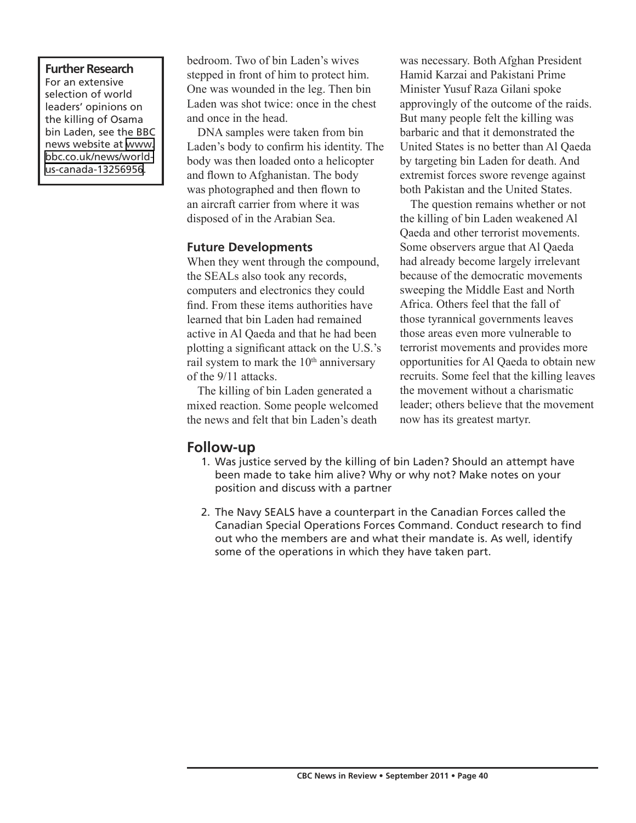#### **Further Research** For an extensive selection of world leaders' opinions on the killing of Osama bin Laden, see the BBC news website at [www.](http://www.bbc.co.uk/news/world-us-canada-13256956) [bbc.co.uk/news/world](http://www.bbc.co.uk/news/world-us-canada-13256956)[us-canada-13256956.](http://www.bbc.co.uk/news/world-us-canada-13256956)

bedroom. Two of bin Laden's wives stepped in front of him to protect him. One was wounded in the leg. Then bin Laden was shot twice: once in the chest and once in the head.

DNA samples were taken from bin Laden's body to confirm his identity. The body was then loaded onto a helicopter and flown to Afghanistan. The body was photographed and then flown to an aircraft carrier from where it was disposed of in the Arabian Sea.

### **Future Developments**

When they went through the compound, the SEALs also took any records, computers and electronics they could find. From these items authorities have learned that bin Laden had remained active in Al Qaeda and that he had been plotting a significant attack on the U.S.'s rail system to mark the 10<sup>th</sup> anniversary of the 9/11 attacks.

The killing of bin Laden generated a mixed reaction. Some people welcomed the news and felt that bin Laden's death

was necessary. Both Afghan President Hamid Karzai and Pakistani Prime Minister Yusuf Raza Gilani spoke approvingly of the outcome of the raids. But many people felt the killing was barbaric and that it demonstrated the United States is no better than Al Qaeda by targeting bin Laden for death. And extremist forces swore revenge against both Pakistan and the United States.

The question remains whether or not the killing of bin Laden weakened Al Qaeda and other terrorist movements. Some observers argue that Al Qaeda had already become largely irrelevant because of the democratic movements sweeping the Middle East and North Africa. Others feel that the fall of those tyrannical governments leaves those areas even more vulnerable to terrorist movements and provides more opportunities for Al Qaeda to obtain new recruits. Some feel that the killing leaves the movement without a charismatic leader; others believe that the movement now has its greatest martyr.

### **Follow-up**

- 1. Was justice served by the killing of bin Laden? Should an attempt have been made to take him alive? Why or why not? Make notes on your position and discuss with a partner
- 2. The Navy SEALS have a counterpart in the Canadian Forces called the Canadian Special Operations Forces Command. Conduct research to find out who the members are and what their mandate is. As well, identify some of the operations in which they have taken part.